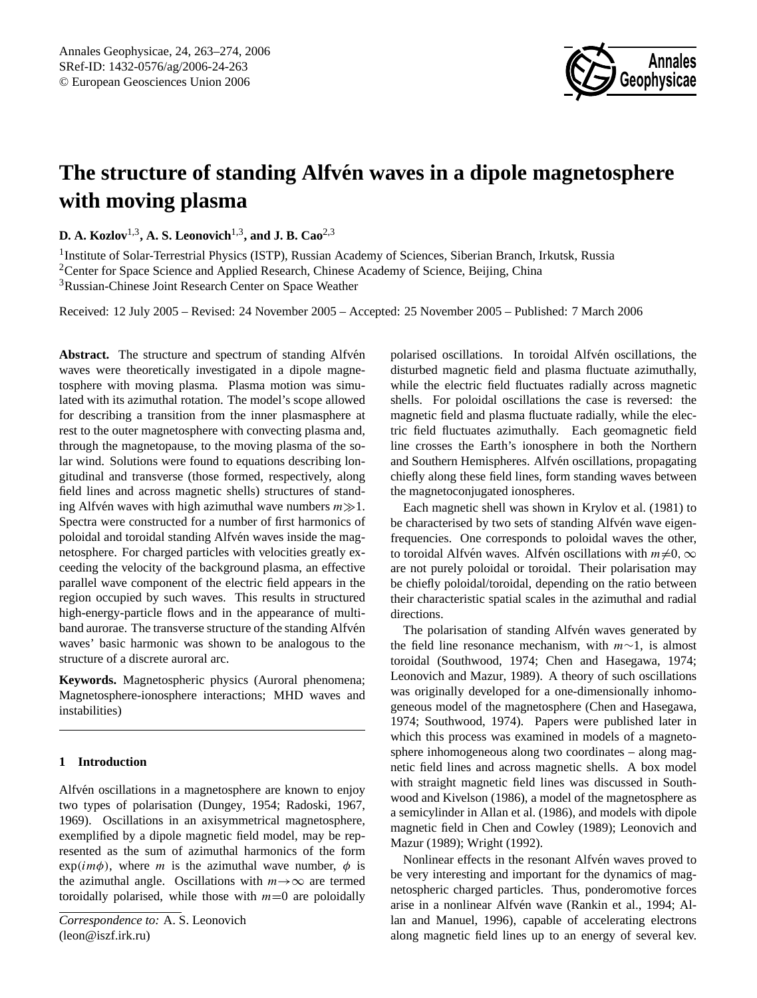

# The structure of standing Alfvén waves in a dipole magnetosphere **with moving plasma**

**D. A. Kozlov**1,3**, A. S. Leonovich**1,3**, and J. B. Cao**2,3

<sup>1</sup>Institute of Solar-Terrestrial Physics (ISTP), Russian Academy of Sciences, Siberian Branch, Irkutsk, Russia <sup>2</sup>Center for Space Science and Applied Research, Chinese Academy of Science, Beijing, China <sup>3</sup>Russian-Chinese Joint Research Center on Space Weather

Received: 12 July 2005 – Revised: 24 November 2005 – Accepted: 25 November 2005 – Published: 7 March 2006

Abstract. The structure and spectrum of standing Alfven waves were theoretically investigated in a dipole magnetosphere with moving plasma. Plasma motion was simulated with its azimuthal rotation. The model's scope allowed for describing a transition from the inner plasmasphere at rest to the outer magnetosphere with convecting plasma and, through the magnetopause, to the moving plasma of the solar wind. Solutions were found to equations describing longitudinal and transverse (those formed, respectively, along field lines and across magnetic shells) structures of standing Alfvén waves with high azimuthal wave numbers  $m \gg 1$ . Spectra were constructed for a number of first harmonics of poloidal and toroidal standing Alfvén waves inside the magnetosphere. For charged particles with velocities greatly exceeding the velocity of the background plasma, an effective parallel wave component of the electric field appears in the region occupied by such waves. This results in structured high-energy-particle flows and in the appearance of multiband aurorae. The transverse structure of the standing Alfvén waves' basic harmonic was shown to be analogous to the structure of a discrete auroral arc.

**Keywords.** Magnetospheric physics (Auroral phenomena; Magnetosphere-ionosphere interactions; MHD waves and instabilities)

# **1 Introduction**

<span id="page-0-0"></span>Alfvén oscillations in a magnetosphere are known to enjoy two types of polarisation [\(Dungey,](#page-11-0) [1954;](#page-11-0) [Radoski,](#page-11-1) [1967,](#page-11-1) [1969\)](#page-11-2). Oscillations in an axisymmetrical magnetosphere, exemplified by a dipole magnetic field model, may be represented as the sum of azimuthal harmonics of the form  $exp(im\phi)$ , where *m* is the azimuthal wave number,  $\phi$  is the azimuthal angle. Oscillations with  $m \rightarrow \infty$  are termed toroidally polarised, while those with  $m=0$  are poloidally polarised oscillations. In toroidal Alfvén oscillations, the disturbed magnetic field and plasma fluctuate azimuthally, while the electric field fluctuates radially across magnetic shells. For poloidal oscillations the case is reversed: the magnetic field and plasma fluctuate radially, while the electric field fluctuates azimuthally. Each geomagnetic field line crosses the Earth's ionosphere in both the Northern and Southern Hemispheres. Alfvén oscillations, propagating chiefly along these field lines, form standing waves between the magnetoconjugated ionospheres.

Each magnetic shell was shown in [Krylov et al.](#page-11-3) [\(1981\)](#page-11-3) to be characterised by two sets of standing Alfvén wave eigenfrequencies. One corresponds to poloidal waves the other, to toroidal Alfvén waves. Alfvén oscillations with  $m\neq 0, \infty$ are not purely poloidal or toroidal. Their polarisation may be chiefly poloidal/toroidal, depending on the ratio between their characteristic spatial scales in the azimuthal and radial directions.

The polarisation of standing Alfvén waves generated by the field line resonance mechanism, with  $m \sim 1$ , is almost toroidal [\(Southwood,](#page-11-4) [1974;](#page-11-4) [Chen and Hasegawa,](#page-11-5) [1974;](#page-11-5) [Leonovich and Mazur,](#page-11-6) [1989\)](#page-11-6). A theory of such oscillations was originally developed for a one-dimensionally inhomogeneous model of the magnetosphere [\(Chen and Hasegawa,](#page-11-5) [1974;](#page-11-5) [Southwood,](#page-11-4) [1974\)](#page-11-4). Papers were published later in which this process was examined in models of a magnetosphere inhomogeneous along two coordinates – along magnetic field lines and across magnetic shells. A box model with straight magnetic field lines was discussed in [South](#page-11-7)[wood and Kivelson](#page-11-7) [\(1986\)](#page-11-7), a model of the magnetosphere as a semicylinder in [Allan et al.](#page-11-8) [\(1986\)](#page-11-8), and models with dipole magnetic field in [Chen and Cowley](#page-11-9) [\(1989\)](#page-11-9); [Leonovich and](#page-11-6) [Mazur](#page-11-6) [\(1989\)](#page-11-6); [Wright](#page-11-10) [\(1992\)](#page-11-10).

Nonlinear effects in the resonant Alfvén waves proved to be very interesting and important for the dynamics of magnetospheric charged particles. Thus, ponderomotive forces arise in a nonlinear Alfvén wave ([Rankin et al.,](#page-11-11) [1994;](#page-11-11) [Al](#page-11-12)[lan and Manuel,](#page-11-12) [1996\)](#page-11-12), capable of accelerating electrons along magnetic field lines up to an energy of several kev.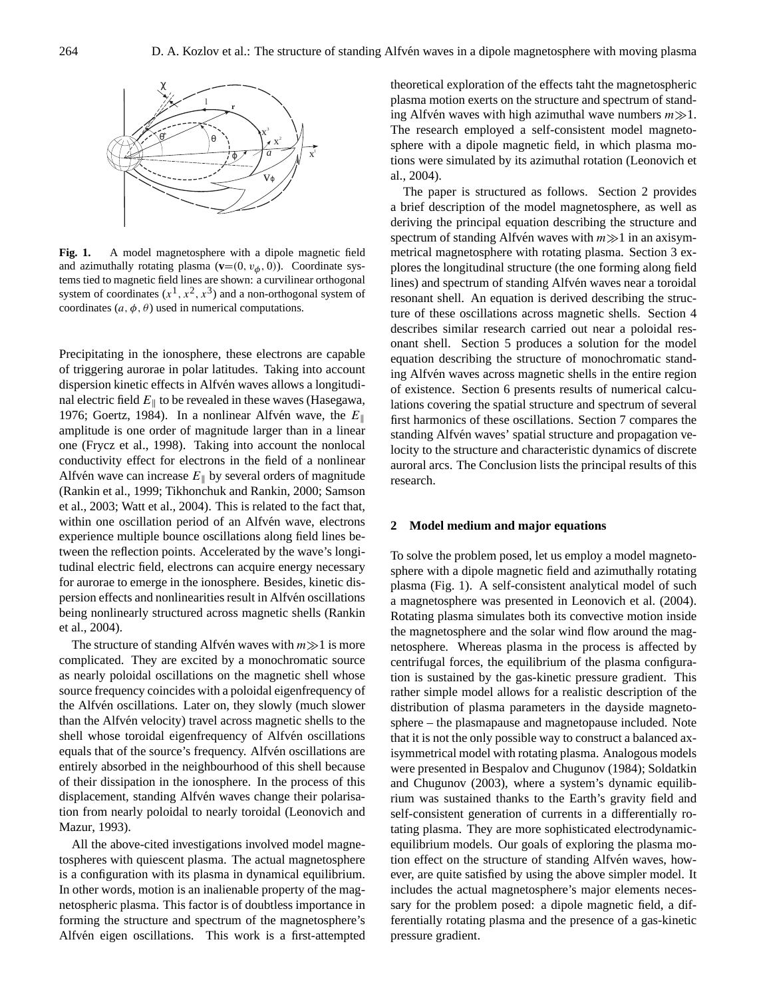

**Fig. 1.** A model magnetosphere with a dipole magnetic field and azimuthally rotating plasma  $(\mathbf{v}=(0, v_{\phi}, 0))$ . Coordinate systems tied to magnetic field lines are shown: a curvilinear orthogonal system of coordinates  $(x^1, x^2, x^3)$  and a non-orthogonal system of coordinates  $(a, \phi, \theta)$  used in numerical computations.

Precipitating in the ionosphere, these electrons are capable of triggering aurorae in polar latitudes. Taking into account dispersion kinetic effects in Alfvén waves allows a longitudinal electric field  $E_{\parallel}$  to be revealed in these waves [\(Hasegawa,](#page-11-13) [1976;](#page-11-13) [Goertz,](#page-11-14) [1984\)](#page-11-14). In a nonlinear Alfvén wave, the  $E_{\parallel}$ amplitude is one order of magnitude larger than in a linear one [\(Frycz et al.,](#page-11-15) [1998\)](#page-11-15). Taking into account the nonlocal conductivity effect for electrons in the field of a nonlinear Alfvén wave can increase  $E_{\parallel}$  by several orders of magnitude [\(Rankin et al.,](#page-11-16) [1999;](#page-11-16) [Tikhonchuk and Rankin,](#page-11-17) [2000;](#page-11-17) [Samson](#page-11-18) [et al.,](#page-11-18) [2003;](#page-11-18) [Watt et al.,](#page-11-19) [2004\)](#page-11-19). This is related to the fact that, within one oscillation period of an Alfvén wave, electrons experience multiple bounce oscillations along field lines between the reflection points. Accelerated by the wave's longitudinal electric field, electrons can acquire energy necessary for aurorae to emerge in the ionosphere. Besides, kinetic dispersion effects and nonlinearities result in Alfvén oscillations being nonlinearly structured across magnetic shells [\(Rankin](#page-11-20) [et al.,](#page-11-20) [2004\)](#page-11-20).

The structure of standing Alfvén waves with  $m \gg 1$  is more complicated. They are excited by a monochromatic source as nearly poloidal oscillations on the magnetic shell whose source frequency coincides with a poloidal eigenfrequency of the Alfvén oscillations. Later on, they slowly (much slower than the Alfven velocity) travel across magnetic shells to the shell whose toroidal eigenfrequency of Alfvén oscillations equals that of the source's frequency. Alfvén oscillations are entirely absorbed in the neighbourhood of this shell because of their dissipation in the ionosphere. In the process of this displacement, standing Alfvén waves change their polarisation from nearly poloidal to nearly toroidal [\(Leonovich and](#page-11-21) [Mazur,](#page-11-21) [1993\)](#page-11-21).

All the above-cited investigations involved model magnetospheres with quiescent plasma. The actual magnetosphere is a configuration with its plasma in dynamical equilibrium. In other words, motion is an inalienable property of the magnetospheric plasma. This factor is of doubtless importance in forming the structure and spectrum of the magnetosphere's Alfvén eigen oscillations. This work is a first-attempted theoretical exploration of the effects taht the magnetospheric plasma motion exerts on the structure and spectrum of standing Alfvén waves with high azimuthal wave numbers  $m \gg 1$ . The research employed a self-consistent model magnetosphere with a dipole magnetic field, in which plasma motions were simulated by its azimuthal rotation [\(Leonovich et](#page-11-22) [al.,](#page-11-22) [2004\)](#page-11-22).

The paper is structured as follows. Section 2 provides a brief description of the model magnetosphere, as well as deriving the principal equation describing the structure and spectrum of standing Alfvén waves with  $m \gg 1$  in an axisymmetrical magnetosphere with rotating plasma. Section 3 explores the longitudinal structure (the one forming along field lines) and spectrum of standing Alfvén waves near a toroidal resonant shell. An equation is derived describing the structure of these oscillations across magnetic shells. Section 4 describes similar research carried out near a poloidal resonant shell. Section 5 produces a solution for the model equation describing the structure of monochromatic standing Alfvén waves across magnetic shells in the entire region of existence. Section 6 presents results of numerical calculations covering the spatial structure and spectrum of several first harmonics of these oscillations. Section 7 compares the standing Alfvén waves' spatial structure and propagation velocity to the structure and characteristic dynamics of discrete auroral arcs. The Conclusion lists the principal results of this research.

#### **2 Model medium and major equations**

To solve the problem posed, let us employ a model magnetosphere with a dipole magnetic field and azimuthally rotating plasma (Fig. 1). A self-consistent analytical model of such a magnetosphere was presented in [Leonovich et al.](#page-11-22) [\(2004\)](#page-11-22). Rotating plasma simulates both its convective motion inside the magnetosphere and the solar wind flow around the magnetosphere. Whereas plasma in the process is affected by centrifugal forces, the equilibrium of the plasma configuration is sustained by the gas-kinetic pressure gradient. This rather simple model allows for a realistic description of the distribution of plasma parameters in the dayside magnetosphere – the plasmapause and magnetopause included. Note that it is not the only possible way to construct a balanced axisymmetrical model with rotating plasma. Analogous models were presented in [Bespalov and Chugunov](#page-11-23) [\(1984\)](#page-11-23); [Soldatkin](#page-11-24) [and Chugunov](#page-11-24) [\(2003\)](#page-11-24), where a system's dynamic equilibrium was sustained thanks to the Earth's gravity field and self-consistent generation of currents in a differentially rotating plasma. They are more sophisticated electrodynamicequilibrium models. Our goals of exploring the plasma motion effect on the structure of standing Alfvén waves, however, are quite satisfied by using the above simpler model. It includes the actual magnetosphere's major elements necessary for the problem posed: a dipole magnetic field, a differentially rotating plasma and the presence of a gas-kinetic pressure gradient.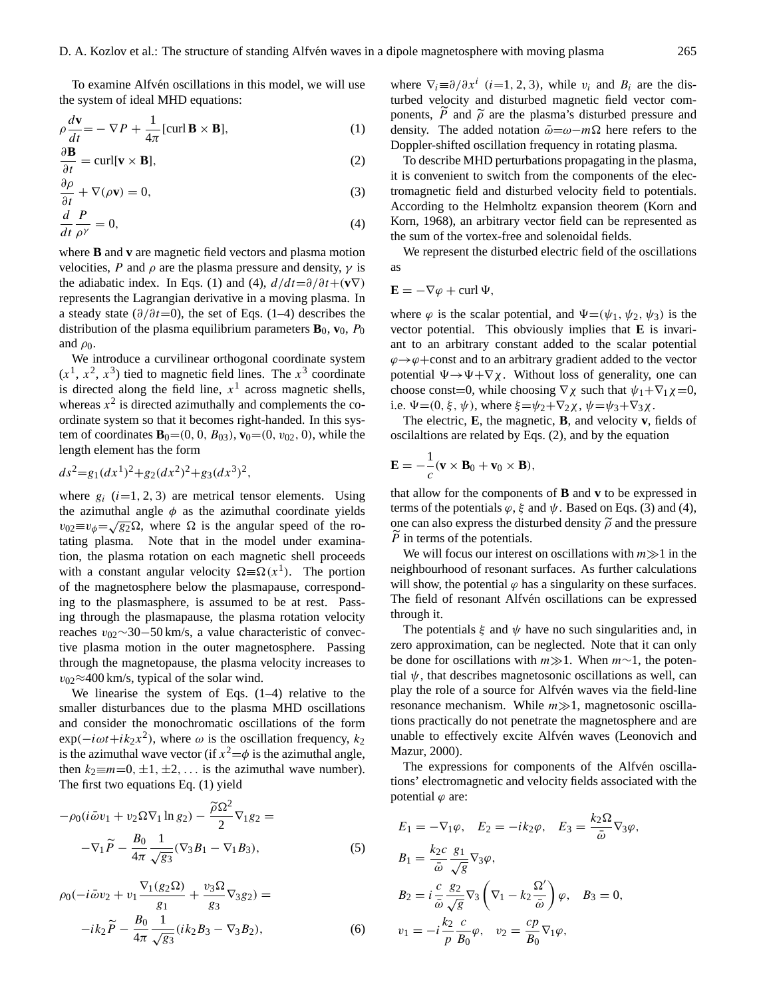To examine Alfvén oscillations in this model, we will use the system of ideal MHD equations:

$$
\rho \frac{d\mathbf{v}}{dt} = -\nabla P + \frac{1}{4\pi} [\text{curl } \mathbf{B} \times \mathbf{B}],\tag{1}
$$

<span id="page-2-0"></span>
$$
\frac{\partial \mathbf{B}}{\partial t} = \text{curl}[\mathbf{v} \times \mathbf{B}],\tag{2}
$$

$$
\frac{\partial \rho}{\partial t} + \nabla(\rho \mathbf{v}) = 0,\tag{3}
$$

$$
\frac{d}{dt}\frac{P}{\rho^{\gamma}} = 0,\tag{4}
$$

where **B** and **v** are magnetic field vectors and plasma motion velocities, P and  $\rho$  are the plasma pressure and density,  $\gamma$  is the adiabatic index. In Eqs. [\(1\)](#page-2-0) and [\(4\)](#page-2-0),  $d/dt = \partial/\partial t + (\mathbf{v}\nabla)$ represents the Lagrangian derivative in a moving plasma. In a steady state ( $\partial/\partial t=0$ ), the set of Eqs. [\(1–4\)](#page-2-0) describes the distribution of the plasma equilibrium parameters  $\mathbf{B}_0$ ,  $\mathbf{v}_0$ ,  $P_0$ and  $\rho_0$ .

We introduce a curvilinear orthogonal coordinate system  $(x<sup>1</sup>, x<sup>2</sup>, x<sup>3</sup>)$  tied to magnetic field lines. The  $x<sup>3</sup>$  coordinate is directed along the field line,  $x<sup>1</sup>$  across magnetic shells, whereas  $x^2$  is directed azimuthally and complements the coordinate system so that it becomes right-handed. In this system of coordinates  $\mathbf{B}_0 = (0, 0, B_{03})$ ,  $\mathbf{v}_0 = (0, v_{02}, 0)$ , while the length element has the form

$$
ds^2 = g_1(dx^1)^2 + g_2(dx^2)^2 + g_3(dx^3)^2,
$$

where  $g_i$  (i=1, 2, 3) are metrical tensor elements. Using the azimuthal angle  $\phi$  as the azimuthal coordinate yields  $v_{02} \equiv v_{\phi} = \sqrt{g_2} \Omega$ , where  $\Omega$  is the angular speed of the rotating plasma. Note that in the model under examination, the plasma rotation on each magnetic shell proceeds with a constant angular velocity  $\Omega = \Omega(x^1)$ . The portion of the magnetosphere below the plasmapause, corresponding to the plasmasphere, is assumed to be at rest. Passing through the plasmapause, the plasma rotation velocity reaches v02∼30−50 km/s, a value characteristic of convective plasma motion in the outer magnetosphere. Passing through the magnetopause, the plasma velocity increases to  $v_{02} \approx 400$  km/s, typical of the solar wind.

We linearise the system of Eqs.  $(1-4)$  relative to the smaller disturbances due to the plasma MHD oscillations and consider the monochromatic oscillations of the form  $\exp(-i\omega t + i k_2 x^2)$ , where  $\omega$  is the oscillation frequency,  $k_2$ is the azimuthal wave vector (if  $x^2 = \phi$  is the azimuthal angle, then  $k_2 \equiv m = 0, \pm 1, \pm 2, \ldots$  is the azimuthal wave number). The first two equations Eq. [\(1\)](#page-2-0) yield

<span id="page-2-2"></span>
$$
-\rho_0(i\bar{\omega}v_1 + v_2\Omega\nabla_1\ln g_2) - \frac{\tilde{\rho}\Omega^2}{2}\nabla_1g_2 = -\nabla_1\tilde{P} - \frac{B_0}{4\pi}\frac{1}{\sqrt{g_3}}(\nabla_3B_1 - \nabla_1B_3),
$$
\n(5)

<span id="page-2-3"></span>
$$
\rho_0(-i\bar{\omega}v_2 + v_1 \frac{\nabla_1(g_2\Omega)}{g_1} + \frac{v_3\Omega}{g_3}\nabla_3 g_2) =
$$
  
-ik<sub>2</sub>  $\tilde{P} - \frac{B_0}{4\pi} \frac{1}{\sqrt{g_3}}(ik_2B_3 - \nabla_3 B_2),$  (6)

where  $\nabla_i \equiv \partial/\partial x^i$  (*i*=1, 2, 3), while  $v_i$  and  $B_i$  are the disturbed velocity and disturbed magnetic field vector components,  $\tilde{P}$  and  $\tilde{\rho}$  are the plasma's disturbed pressure and density. The added notation  $\bar{\omega}=\omega-m\Omega$  here refers to the Doppler-shifted oscillation frequency in rotating plasma.

To describe MHD perturbations propagating in the plasma, it is convenient to switch from the components of the electromagnetic field and disturbed velocity field to potentials. According to the Helmholtz expansion theorem [\(Korn and](#page-11-25) [Korn,](#page-11-25) [1968\)](#page-11-25), an arbitrary vector field can be represented as the sum of the vortex-free and solenoidal fields.

We represent the disturbed electric field of the oscillations as

$$
\mathbf{E} = -\nabla \varphi + \operatorname{curl} \Psi,
$$

where  $\varphi$  is the scalar potential, and  $\Psi = (\psi_1, \psi_2, \psi_3)$  is the vector potential. This obviously implies that **E** is invariant to an arbitrary constant added to the scalar potential  $\varphi \rightarrow \varphi$ +const and to an arbitrary gradient added to the vector potential  $\Psi \rightarrow \Psi + \nabla \chi$ . Without loss of generality, one can choose const=0, while choosing  $\nabla \chi$  such that  $\psi_1 + \nabla_1 \chi = 0$ , i.e.  $\Psi=(0, \xi, \psi)$ , where  $\xi=\psi_2+\nabla_2\chi$ ,  $\psi=\psi_3+\nabla_3\chi$ .

The electric, **E**, the magnetic, **B**, and velocity **v**, fields of oscilaltions are related by Eqs. [\(2\)](#page-2-0), and by the equation

$$
\mathbf{E} = -\frac{1}{c}(\mathbf{v} \times \mathbf{B}_0 + \mathbf{v}_0 \times \mathbf{B}),
$$

that allow for the components of **B** and **v** to be expressed in terms of the potentials  $\varphi$ ,  $\xi$  and  $\psi$ . Based on Eqs. [\(3\)](#page-2-0) and [\(4\)](#page-2-0), one can also express the disturbed density  $\tilde{\rho}$  and the pressure  $\tilde{P}$  in terms of the potentials.

We will focus our interest on oscillations with  $m \gg 1$  in the neighbourhood of resonant surfaces. As further calculations will show, the potential  $\varphi$  has a singularity on these surfaces. The field of resonant Alfvén oscillations can be expressed through it.

The potentials  $\xi$  and  $\psi$  have no such singularities and, in zero approximation, can be neglected. Note that it can only be done for oscillations with  $m\gg1$ . When  $m\sim1$ , the potential  $\psi$ , that describes magnetosonic oscillations as well, can play the role of a source for Alfvén waves via the field-line resonance mechanism. While  $m \gg 1$ , magnetosonic oscillations practically do not penetrate the magnetosphere and are unable to effectively excite Alfvén waves ([Leonovich and](#page-11-26) [Mazur,](#page-11-26) [2000\)](#page-11-26).

The expressions for components of the Alfvén oscillations' electromagnetic and velocity fields associated with the potential  $\varphi$  are:

<span id="page-2-1"></span>
$$
E_1 = -\nabla_1 \varphi, \quad E_2 = -ik_2 \varphi, \quad E_3 = \frac{k_2 \Omega}{\bar{\omega}} \nabla_3 \varphi,
$$
  
\n
$$
B_1 = \frac{k_2 c}{\bar{\omega}} \frac{g_1}{\sqrt{g}} \nabla_3 \varphi,
$$
  
\n
$$
B_2 = i \frac{c}{\bar{\omega}} \frac{g_2}{\sqrt{g}} \nabla_3 \left( \nabla_1 - k_2 \frac{\Omega'}{\bar{\omega}} \right) \varphi, \quad B_3 = 0,
$$
  
\n
$$
v_1 = -i \frac{k_2}{p} \frac{c}{B_0} \varphi, \quad v_2 = \frac{cp}{B_0} \nabla_1 \varphi,
$$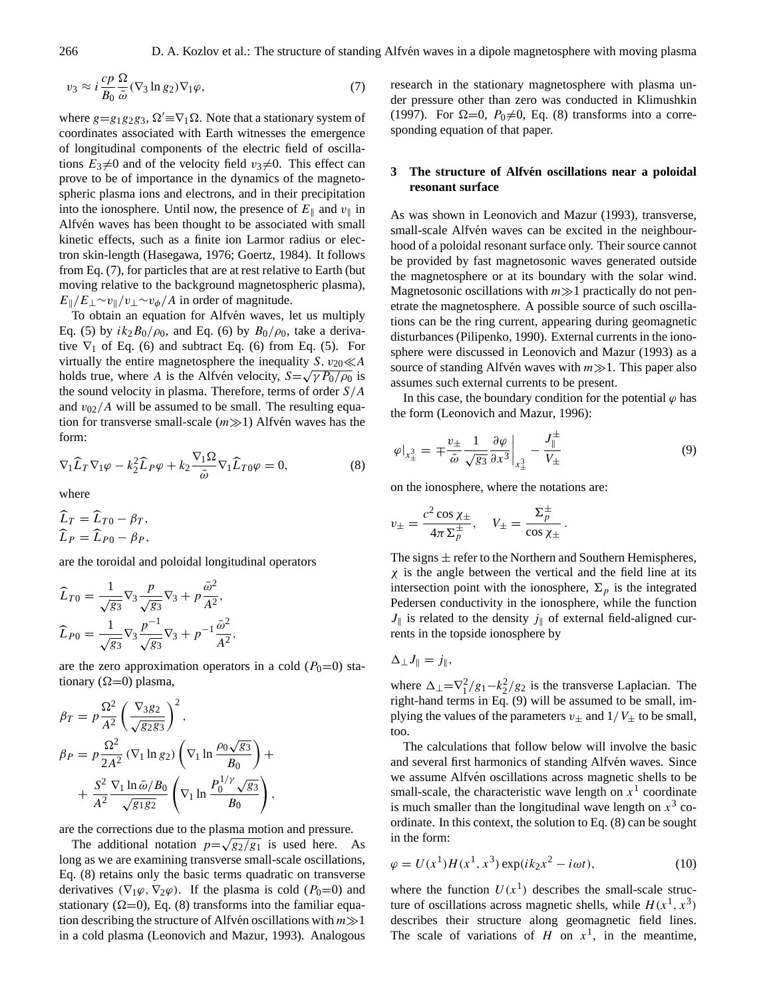$$
v_3 \approx i \frac{cp}{B_0} \frac{\Omega}{\bar{\omega}} (\nabla_3 \ln g_2) \nabla_1 \varphi, \tag{7}
$$

where  $g=g_1g_2g_3$ ,  $\Omega' \equiv \nabla_1 \Omega$ . Note that a stationary system of coordinates associated with Earth witnesses the emergence of longitudinal components of the electric field of oscillations  $E_3\neq 0$  and of the velocity field  $v_3\neq 0$ . This effect can prove to be of importance in the dynamics of the magnetospheric plasma ions and electrons, and in their precipitation into the ionosphere. Until now, the presence of  $E_{\parallel}$  and  $v_{\parallel}$  in Alfvén waves has been thought to be associated with small kinetic effects, such as a finite ion Larmor radius or electron skin-length [\(Hasegawa,](#page-11-13) [1976;](#page-11-13) [Goertz,](#page-11-14) [1984\)](#page-11-14). It follows from Eq. [\(7\)](#page-2-1), for particles that are at rest relative to Earth (but moving relative to the background magnetospheric plasma),  $E_{\parallel}/E_{\perp} \sim v_{\parallel}/v_{\perp} \sim v_{\phi}/A$  in order of magnitude.

To obtain an equation for Alfvén waves, let us multiply Eq. [\(5\)](#page-2-2) by  $ik_2B_0/\rho_0$ , and Eq. [\(6\)](#page-2-3) by  $B_0/\rho_0$ , take a derivative  $\nabla_1$  of Eq. [\(6\)](#page-2-3) and subtract Eq. [\(6\)](#page-2-3) from Eq. [\(5\)](#page-2-2). For virtually the entire magnetosphere the inequality  $S, v_{20} \ll A$ holds true, where A is the Alfvén velocity,  $S = \sqrt{\gamma P_0 / \rho_0}$  is the sound velocity in plasma. Therefore, terms of order  $S/A$ and  $v_{02}/A$  will be assumed to be small. The resulting equation for transverse small-scale  $(m \gg 1)$  Alfvén waves has the form:

<span id="page-3-0"></span>
$$
\nabla_1 \widehat{L}_T \nabla_1 \varphi - k_2^2 \widehat{L}_P \varphi + k_2 \frac{\nabla_1 \Omega}{\bar{\omega}} \nabla_1 \widehat{L}_{T0} \varphi = 0, \tag{8}
$$

where

<span id="page-3-1"></span>
$$
\widehat{L}_T = \widehat{L}_{T0} - \beta_T,
$$
  
\n
$$
\widehat{L}_P = \widehat{L}_{P0} - \beta_P,
$$

are the toroidal and poloidal longitudinal operators

$$
\widehat{L}_{T0} = \frac{1}{\sqrt{g_3}} \nabla_3 \frac{p}{\sqrt{g_3}} \nabla_3 + p \frac{\bar{\omega}^2}{A^2},
$$
  

$$
\widehat{L}_{P0} = \frac{1}{\sqrt{g_3}} \nabla_3 \frac{p^{-1}}{\sqrt{g_3}} \nabla_3 + p^{-1} \frac{\bar{\omega}^2}{A^2},
$$

are the zero approximation operators in a cold  $(P_0=0)$  stationary ( $\Omega$ =0) plasma,

$$
\beta_T = p \frac{\Omega^2}{A^2} \left( \frac{\nabla_3 g_2}{\sqrt{g_2 g_3}} \right)^2,
$$
  
\n
$$
\beta_P = p \frac{\Omega^2}{2A^2} (\nabla_1 \ln g_2) \left( \nabla_1 \ln \frac{\rho_0 \sqrt{g_3}}{B_0} \right) +
$$
  
\n
$$
+ \frac{S^2}{A^2} \frac{\nabla_1 \ln \tilde{\omega} / B_0}{\sqrt{g_1 g_2}} \left( \nabla_1 \ln \frac{P_0^{1/\gamma} \sqrt{g_3}}{B_0} \right),
$$

are the corrections due to the plasma motion and pressure.

The additional notation  $p=\sqrt{g_2/g_1}$  is used here. As long as we are examining transverse small-scale oscillations, Eq. [\(8\)](#page-3-0) retains only the basic terms quadratic on transverse derivatives ( $\nabla_1\varphi$ ,  $\nabla_2\varphi$ ). If the plasma is cold ( $P_0=0$ ) and stationary ( $\Omega$ =0), Eq. [\(8\)](#page-3-0) transforms into the familiar equation describing the structure of Alfvén oscillations with  $m \gg 1$ in a cold plasma [\(Leonovich and Mazur,](#page-11-21) [1993\)](#page-11-21). Analogous research in the stationary magnetosphere with plasma under pressure other than zero was conducted in [Klimushkin](#page-11-27) [\(1997\)](#page-11-27). For  $\Omega=0$ ,  $P_0\neq 0$ , Eq. [\(8\)](#page-3-0) transforms into a corresponding equation of that paper.

### **3** The structure of Alfvén oscillations near a poloidal **resonant surface**

As was shown in [Leonovich and Mazur](#page-11-21) [\(1993\)](#page-11-21), transverse, small-scale Alfvén waves can be excited in the neighbourhood of a poloidal resonant surface only. Their source cannot be provided by fast magnetosonic waves generated outside the magnetosphere or at its boundary with the solar wind. Magnetosonic oscillations with  $m \gg 1$  practically do not penetrate the magnetosphere. A possible source of such oscillations can be the ring current, appearing during geomagnetic disturbances [\(Pilipenko,](#page-11-28) [1990\)](#page-11-28). External currents in the ionosphere were discussed in [Leonovich and Mazur](#page-11-21) [\(1993\)](#page-11-21) as a source of standing Alfvén waves with  $m \gg 1$ . This paper also assumes such external currents to be present.

In this case, the boundary condition for the potential  $\varphi$  has the form [\(Leonovich and Mazur,](#page-11-29) [1996\)](#page-11-29):

$$
\varphi|_{x_{\pm}^3} = \pm \frac{v_{\pm}}{\bar{\omega}} \frac{1}{\sqrt{g_3}} \frac{\partial \varphi}{\partial x^3} \bigg|_{x_{\pm}^3} - \frac{J_{\parallel}^{\pm}}{V_{\pm}} \tag{9}
$$

on the ionosphere, where the notations are:

$$
v_{\pm} = \frac{c^2 \cos \chi_{\pm}}{4\pi \Sigma_p^{\pm}}, \quad V_{\pm} = \frac{\Sigma_p^{\pm}}{\cos \chi_{\pm}}.
$$

The signs  $\pm$  refer to the Northern and Southern Hemispheres,  $\chi$  is the angle between the vertical and the field line at its intersection point with the ionosphere,  $\Sigma_p$  is the integrated Pedersen conductivity in the ionosphere, while the function  $J_{\parallel}$  is related to the density  $j_{\parallel}$  of external field-aligned currents in the topside ionosphere by

$$
\Delta_{\perp} J_{\parallel} = j_{\parallel},
$$

where  $\Delta_{\perp} = \nabla_1^2/g_1 - k_2^2/g_2$  is the transverse Laplacian. The right-hand terms in Eq. [\(9\)](#page-3-1) will be assumed to be small, implying the values of the parameters  $v_{\pm}$  and  $1/V_{\pm}$  to be small, too.

The calculations that follow below will involve the basic and several first harmonics of standing Alfvén waves. Since we assume Alfvén oscillations across magnetic shells to be small-scale, the characteristic wave length on  $x<sup>1</sup>$  coordinate is much smaller than the longitudinal wave length on  $x^3$  coordinate. In this context, the solution to Eq. [\(8\)](#page-3-0) can be sought in the form:

<span id="page-3-2"></span>
$$
\varphi = U(x^1)H(x^1, x^3) \exp(ik_2x^2 - i\omega t),
$$
\n(10)

where the function  $U(x^1)$  describes the small-scale structure of oscillations across magnetic shells, while  $H(x^1, x^3)$ describes their structure along geomagnetic field lines. The scale of variations of H on  $x<sup>1</sup>$ , in the meantime,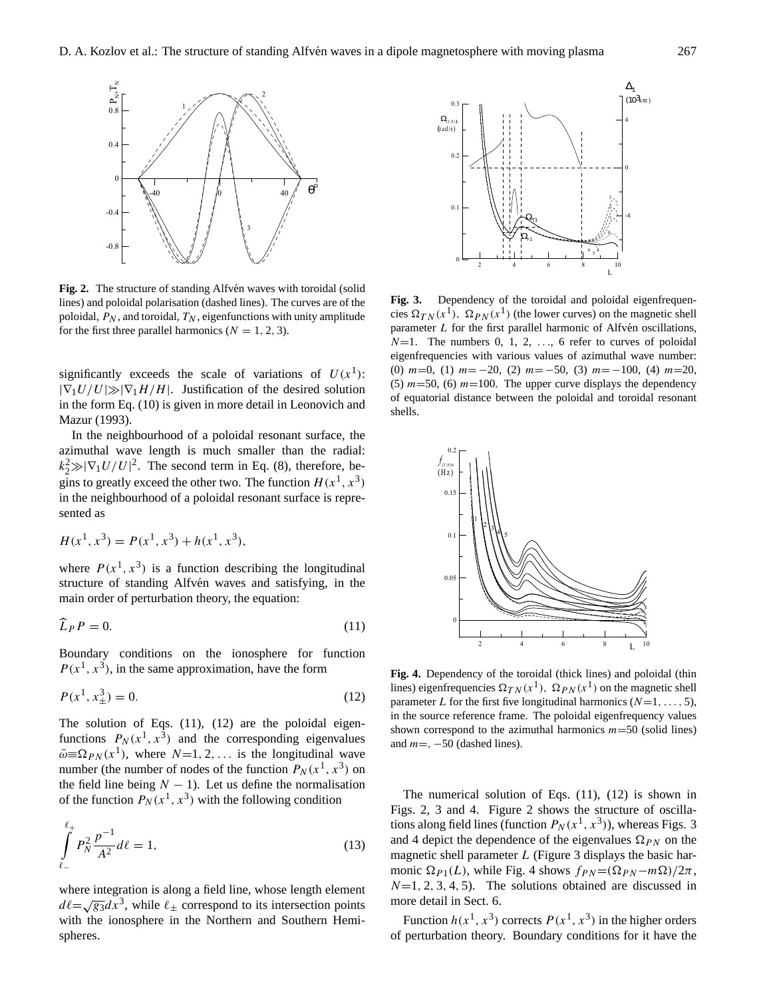

Fig. 2. The structure of standing Alfvén waves with toroidal (solid lines) and poloidal polarisation (dashed lines). The curves are of the **Fig** poloidal,  $P_N$ , and toroidal,  $T_N$ , eigenfunctions with unity amplitude cies for the first three parallel harmonics  $(N = 1, 2, 3)$ .

significantly exceeds the scale of variations of  $U(x^1)$ :  $|\nabla_1 U/U| \gg |\nabla_1 H/H|$ . Justification of the desired solution in the form Eq. [\(10\)](#page-3-2) is given in more detail in [Leonovich and](#page-11-21) [Mazur](#page-11-21) [\(1993\)](#page-11-21).

In the neighbourhood of a poloidal resonant surface, the azimuthal wave length is much smaller than the radial:  $k_2^2 \gg |\nabla_1 U/U|^2$ . The second term in Eq. [\(8\)](#page-3-0), therefore, begins to greatly exceed the other two. The function  $H(x^1, x^3)$ in the neighbourhood of a poloidal resonant surface is repre sented as  $\frac{1}{2}$  itly exceed the other two. The f

$$
H(x1, x3) = P(x1, x3) + h(x1, x3),
$$

where  $P(x^1, x^3)$  is a function describing the longitudinal structure of standing Alfvén waves and satisfying, in the main order of perturbation theory, the equation:

<span id="page-4-0"></span>
$$
\widehat{L}_P P = 0. \tag{11}
$$

Boundary conditions on the ionosphere for function  $P(x^1, x^3)$ , in the same approximation, have the form **Fig.** 

<span id="page-4-1"></span>
$$
P(x^1, x^3_{\pm}) = 0.
$$
 lines  
para

The solution of Eqs.  $(11)$ ,  $(12)$  are the poloidal eigenfunctions  $P_N(x^1, x^3)$  and the corresponding eigenvalues  $\bar{\omega} \equiv \Omega_{PN}(x^1)$ , where  $N=1, 2, \ldots$  is the longitudinal wave number (the number of nodes of the function  $P_N(x^1, x^3)$  on the field line being  $N - 1$ ). Let us define the normalisation of the function  $P_N(x^1, x^3)$  with the following condition

<span id="page-4-2"></span>
$$
\int_{\ell_{-}}^{\ell_{+}} P_{N}^{2} \frac{p^{-1}}{A^{2}} d\ell = 1, \qquad (13)
$$

where integration is along a field line, whose length element where integration is along a held line, whose length element  $d\ell = \sqrt{g_3}dx^3$ , while  $\ell_{\pm}$  correspond to its intersection points with the ionosphere in the Northern and Southern Hemispheres.



Fig. 3. Dependency of the toroidal and poloidal eigenfrequencies  $\Omega_{TN}(x^1)$ ,  $\Omega_{PN}(x^1)$  (the lower curves) on the magnetic shell  $\sqrt{x}$ ,  $\frac{u}{f}$  and point to poloid eigenfrequency values shown correspond to the shown correspond to  $\frac{d}{dx}$ parameter  $L$  for the first parallel harmonic of Alfvén oscillations,  $N=1$ . The numbers 0, 1, 2, ..., 6 refer to curves of poloidal eigenfrequencies with various values of azimuthal wave number: (0)  $m=0$ , (1)  $m=-20$ , (2)  $m=-50$ , (3)  $m=-100$ , (4)  $m=20$ , (5)  $m=50$ , (6)  $m=100$ . The upper curve displays the dependency of equatorial distance between the poloidal and toroidal resonant shells.



Fig. 4. Dependency of the toroidal (thick lines) and poloidal (thin lines) eigenfrequencies  $\Omega_{TN}(x^1)$ ,  $\Omega_{PN}(x^1)$  on the magnetic shell parameter L for the first five longitudinal harmonics  $(N=1, \ldots, 5)$ ,  $F_{\text{in}}$  and the source reference frame. The poloidal eigenfrequency values in the source reference frame. The poloidal eigenfrequency values the reference frame. The polonical eigenfrequency values shown correspond to the azimuthal harmonics  $m=50$  (solid lines) and  $m =$ ,  $-50$  (dashed lines).

The numerical solution of Eqs. [\(11\)](#page-4-0), [\(12\)](#page-4-1) is shown in Figs. 2, 3 and 4. Figure 2 shows the structure of oscillations along field lines (function  $P_N(x^1, x^3)$ ), whereas Figs. 3 and 4 depict the dependence of the eigenvalues  $\Omega_{PN}$  on the magnetic shell parameter  $L$  (Figure 3 displays the basic harmonic  $\Omega_{P1}(L)$ , while Fig. 4 shows  $f_{PN}=(\Omega_{PN}-m\Omega)/2\pi$ ,  $N=1, 2, 3, 4, 5$ . The solutions obtained are discussed in more detail in Sect. 6.

Function  $h(x^1, x^3)$  corrects  $P(x^1, x^3)$  in the higher orders of perturbation theory. Boundary conditions for it have the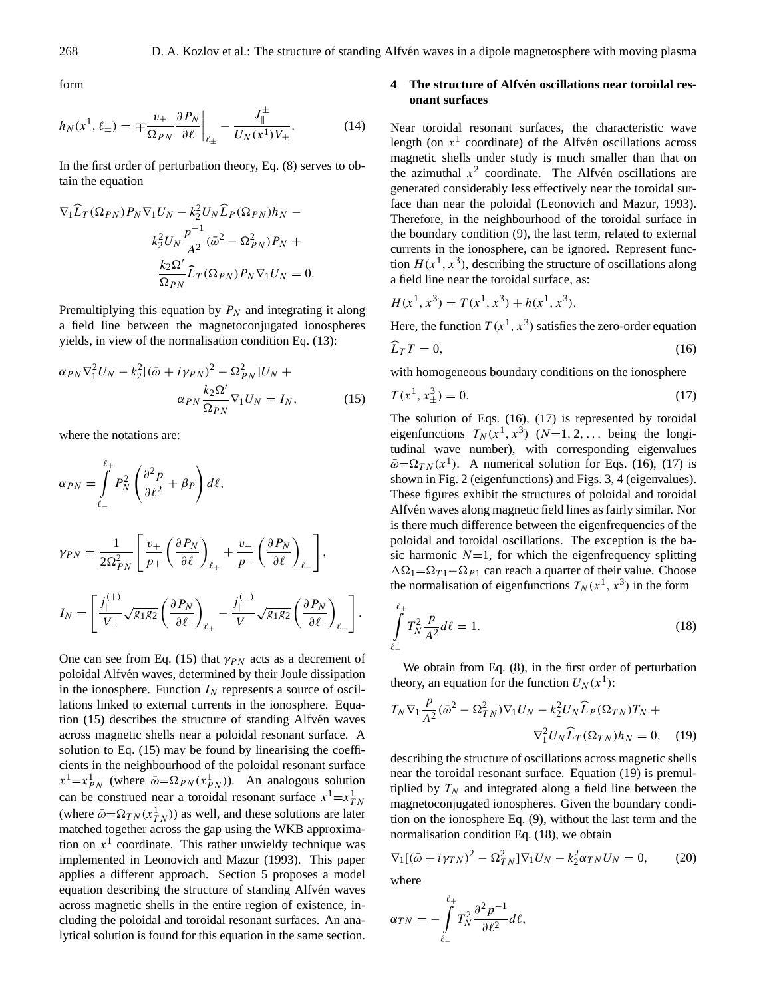$\theta$ 

form

$$
h_N(x^1, \ell_\pm) = \mp \frac{v_\pm}{\Omega_{PN}} \frac{\partial P_N}{\partial \ell} \bigg|_{\ell_\pm} - \frac{J_\parallel^\pm}{U_N(x^1)V_\pm}.\tag{14}
$$

In the first order of perturbation theory, Eq. [\(8\)](#page-3-0) serves to obtain the equation

$$
\nabla_1 \widehat{L}_T (\Omega_{PN}) P_N \nabla_1 U_N - k_2^2 U_N \widehat{L}_P (\Omega_{PN}) h_N -
$$
  

$$
k_2^2 U_N \frac{p^{-1}}{A^2} (\bar{\omega}^2 - \Omega_{PN}^2) P_N +
$$
  

$$
\frac{k_2 \Omega'}{\Omega_{PN}} \widehat{L}_T (\Omega_{PN}) P_N \nabla_1 U_N = 0.
$$

Premultiplying this equation by  $P_N$  and integrating it along a field line between the magnetoconjugated ionospheres yields, in view of the normalisation condition Eq. [\(13\)](#page-4-2):

<span id="page-5-0"></span>
$$
\alpha_{PN} \nabla_1^2 U_N - k_2^2 [(\bar{\omega} + i\gamma_{PN})^2 - \Omega_{PN}^2] U_N +
$$
  
\n
$$
\alpha_{PN} \frac{k_2 \Omega'}{\Omega_{PN}} \nabla_1 U_N = I_N,
$$
\n(15)

where the notations are:

$$
\alpha_{PN} = \int_{\ell_{-}}^{\ell_{+}} P_{N}^{2} \left( \frac{\partial^{2} p}{\partial \ell^{2}} + \beta_{P} \right) d\ell,
$$
  
\n
$$
\gamma_{PN} = \frac{1}{2\Omega_{PN}^{2}} \left[ \frac{v_{+}}{p_{+}} \left( \frac{\partial P_{N}}{\partial \ell} \right)_{\ell_{+}} + \frac{v_{-}}{p_{-}} \left( \frac{\partial P_{N}}{\partial \ell} \right)_{\ell_{-}} \right],
$$
  
\n
$$
I_{N} = \left[ \frac{j_{\parallel}^{(+)}}{V_{+}} \sqrt{g_{1}g_{2}} \left( \frac{\partial P_{N}}{\partial \ell} \right)_{\ell_{+}} - \frac{j_{\parallel}^{(-)}}{V_{-}} \sqrt{g_{1}g_{2}} \left( \frac{\partial P_{N}}{\partial \ell} \right)_{\ell_{-}} \right].
$$

One can see from Eq. [\(15\)](#page-5-0) that  $\gamma_{PN}$  acts as a decrement of poloidal Alfvén waves, determined by their Joule dissipation in the ionosphere. Function  $I_N$  represents a source of oscillations linked to external currents in the ionosphere. Equation  $(15)$  describes the structure of standing Alfvén waves across magnetic shells near a poloidal resonant surface. A solution to Eq. [\(15\)](#page-5-0) may be found by linearising the coefficients in the neighbourhood of the poloidal resonant surface  $x^1 = x_{PN}^1$  (where  $\bar{\omega} = \Omega_{PN}(x_{PN}^1)$ ). An analogous solution can be construed near a toroidal resonant surface  $x^1 = x_{TN}^1$ (where  $\bar{\omega} = \Omega_{TN}(x_{TN}^1)$ ) as well, and these solutions are later matched together across the gap using the WKB approximation on  $x<sup>1</sup>$  coordinate. This rather unwieldy technique was implemented in [Leonovich and Mazur](#page-11-21) [\(1993\)](#page-11-21). This paper applies a different approach. Section 5 proposes a model equation describing the structure of standing Alfvén waves across magnetic shells in the entire region of existence, including the poloidal and toroidal resonant surfaces. An analytical solution is found for this equation in the same section.

## **4 The structure of Alfven oscillations near toroidal res- ´ onant surfaces**

Near toroidal resonant surfaces, the characteristic wave length (on  $x<sup>1</sup>$  coordinate) of the Alfvén oscillations across magnetic shells under study is much smaller than that on the azimuthal  $x^2$  coordinate. The Alfvén oscillations are generated considerably less effectively near the toroidal surface than near the poloidal [\(Leonovich and Mazur,](#page-11-21) [1993\)](#page-11-21). Therefore, in the neighbourhood of the toroidal surface in the boundary condition [\(9\)](#page-3-1), the last term, related to external currents in the ionosphere, can be ignored. Represent function  $H(x^1, x^3)$ , describing the structure of oscillations along a field line near the toroidal surface, as:

$$
H(x1, x3) = T(x1, x3) + h(x1, x3).
$$

Here, the function  $T(x^1, x^3)$  satisfies the zero-order equation

<span id="page-5-1"></span>
$$
L_T T = 0,\t\t(16)
$$

with homogeneous boundary conditions on the ionosphere

<span id="page-5-2"></span>
$$
T(x^1, x^3_{\pm}) = 0. \tag{17}
$$

The solution of Eqs. [\(16\)](#page-5-1), [\(17\)](#page-5-2) is represented by toroidal eigenfunctions  $T_N(x^1, x^3)$   $(N=1, 2, \dots)$  being the longitudinal wave number), with corresponding eigenvalues  $\bar{\omega} = \Omega_{TN}(x^1)$ . A numerical solution for Eqs. [\(16\)](#page-5-1), [\(17\)](#page-5-2) is shown in Fig. 2 (eigenfunctions) and Figs. 3, 4 (eigenvalues). These figures exhibit the structures of poloidal and toroidal Alfvén waves along magnetic field lines as fairly similar. Nor is there much difference between the eigenfrequencies of the poloidal and toroidal oscillations. The exception is the basic harmonic  $N=1$ , for which the eigenfrequency splitting  $\Delta\Omega_1=\Omega_{T1}-\Omega_{P1}$  can reach a quarter of their value. Choose the normalisation of eigenfunctions  $T_N(x^1, x^3)$  in the form

<span id="page-5-4"></span>
$$
\int_{\ell_{-}}^{\ell_{+}} T_{N}^{2} \frac{p}{A^{2}} d\ell = 1.
$$
\n(18)

We obtain from Eq. [\(8\)](#page-3-0), in the first order of perturbation theory, an equation for the function  $U_N(x^1)$ :

<span id="page-5-3"></span>
$$
T_N \nabla_1 \frac{p}{A^2} (\bar{\omega}^2 - \Omega_{TN}^2) \nabla_1 U_N - k_2^2 U_N \widehat{L}_P(\Omega_{TN}) T_N +
$$
  

$$
\nabla_1^2 U_N \widehat{L}_T(\Omega_{TN}) h_N = 0, \quad (19)
$$

describing the structure of oscillations across magnetic shells near the toroidal resonant surface. Equation [\(19\)](#page-5-3) is premultiplied by  $T_N$  and integrated along a field line between the magnetoconjugated ionospheres. Given the boundary condition on the ionosphere Eq. [\(9\)](#page-3-1), without the last term and the normalisation condition Eq. [\(18\)](#page-5-4), we obtain

<span id="page-5-5"></span>
$$
\nabla_1 [(\bar{\omega} + i\gamma_{TN})^2 - \Omega_{TN}^2] \nabla_1 U_N - k_2^2 \alpha_{TN} U_N = 0,
$$
 (20)  
where  

$$
\alpha_{TN} = -\int^{\ell_+} T_N^2 \frac{\partial^2 p^{-1}}{\partial \ell^2} d\ell,
$$

 $\ell$ −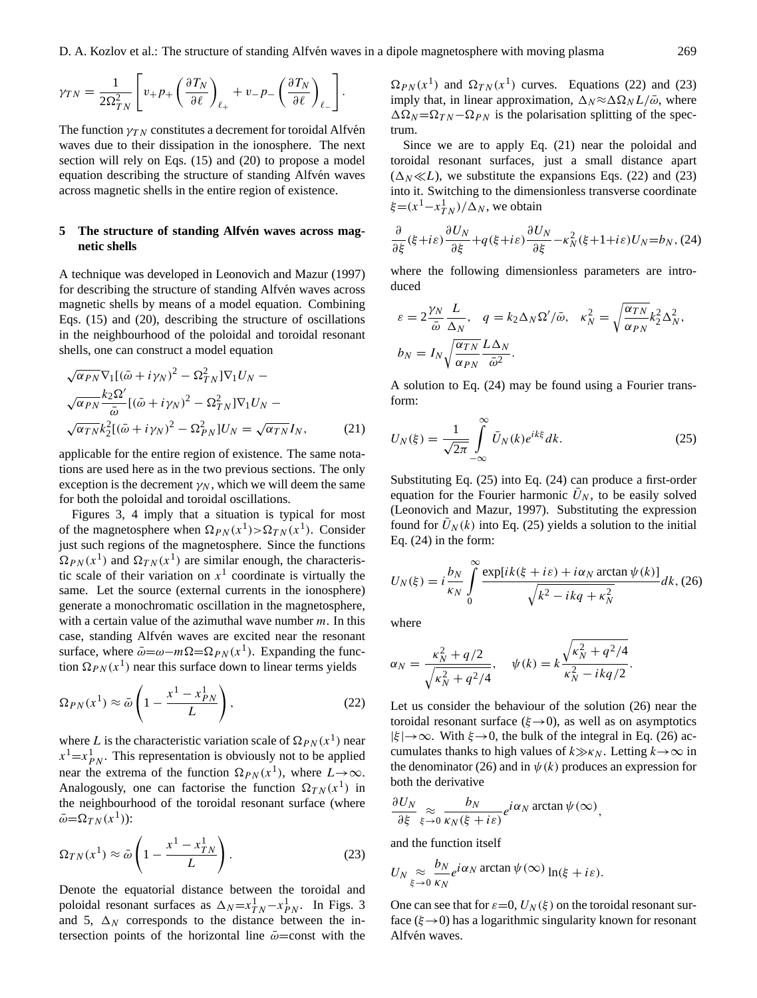$$
\gamma_{TN} = \frac{1}{2\Omega_{TN}^2} \left[ v_+ p_+ \left( \frac{\partial T_N}{\partial \ell} \right)_{\ell_+} + v_- p_- \left( \frac{\partial T_N}{\partial \ell} \right)_{\ell_-} \right].
$$

The function  $\gamma_{TN}$  constitutes a decrement for toroidal Alfvén waves due to their dissipation in the ionosphere. The next section will rely on Eqs. [\(15\)](#page-5-0) and [\(20\)](#page-5-5) to propose a model equation describing the structure of standing Alfvén waves across magnetic shells in the entire region of existence.

#### **5** The structure of standing Alfvén waves across mag**netic shells**

A technique was developed in [Leonovich and Mazur](#page-11-30) [\(1997\)](#page-11-30) for describing the structure of standing Alfvén waves across magnetic shells by means of a model equation. Combining Eqs. [\(15\)](#page-5-0) and [\(20\)](#page-5-5), describing the structure of oscillations in the neighbourhood of the poloidal and toroidal resonant shells, one can construct a model equation

<span id="page-6-2"></span>
$$
\sqrt{\alpha_{PN}} \nabla_1 [(\bar{\omega} + i\gamma_N)^2 - \Omega_{TN}^2] \nabla_1 U_N -
$$
  

$$
\sqrt{\alpha_{PN}} \frac{k_2 \Omega'}{\bar{\omega}} [(\bar{\omega} + i\gamma_N)^2 - \Omega_{TN}^2] \nabla_1 U_N -
$$
  

$$
\sqrt{\alpha_{TN}} k_2^2 [(\bar{\omega} + i\gamma_N)^2 - \Omega_{PN}^2] U_N = \sqrt{\alpha_{TN}} I_N,
$$
 (21)

applicable for the entire region of existence. The same notations are used here as in the two previous sections. The only exception is the decrement  $\gamma_N$ , which we will deem the same for both the poloidal and toroidal oscillations.

Figures 3, 4 imply that a situation is typical for most of the magnetosphere when  $\Omega_{PN}(x^1) > \Omega_{TN}(x^1)$ . Consider just such regions of the magnetosphere. Since the functions  $\Omega_{PN}(x^1)$  and  $\Omega_{TN}(x^1)$  are similar enough, the characteristic scale of their variation on  $x<sup>1</sup>$  coordinate is virtually the same. Let the source (external currents in the ionosphere) generate a monochromatic oscillation in the magnetosphere, with a certain value of the azimuthal wave number  $m$ . In this case, standing Alfvén waves are excited near the resonant surface, where  $\bar{\omega} = \omega - m\Omega = \Omega_{PN}(x^1)$ . Expanding the function  $\Omega_{PN}(x^1)$  near this surface down to linear terms yields

<span id="page-6-0"></span>
$$
\Omega_{PN}(x^1) \approx \bar{\omega} \left( 1 - \frac{x^1 - x_{PN}^1}{L} \right),\tag{22}
$$

where L is the characteristic variation scale of  $\Omega_{PN}(x^1)$  near  $x^1 = x^1_{PN}$ . This representation is obviously not to be applied near the extrema of the function  $\Omega_{PN}(x^1)$ , where  $L\rightarrow\infty$ . Analogously, one can factorise the function  $\Omega_{TN}(x^1)$  in the neighbourhood of the toroidal resonant surface (where  $\bar{\omega} = \Omega_{TN}(x^1)$ :

<span id="page-6-1"></span>
$$
\Omega_{TN}(x^1) \approx \bar{\omega} \left( 1 - \frac{x^1 - x_{TN}^1}{L} \right). \tag{23}
$$

Denote the equatorial distance between the toroidal and poloidal resonant surfaces as  $\Delta_N = x_{TN}^1 - x_{PN}^1$ . In Figs. 3 and 5,  $\Delta_N$  corresponds to the distance between the intersection points of the horizontal line  $\bar{\omega}$ =const with the

 $\Omega_{PN}(x^1)$  and  $\Omega_{TN}(x^1)$  curves. Equations [\(22\)](#page-6-0) and [\(23\)](#page-6-1) imply that, in linear approximation,  $\Delta_N \approx \Delta\Omega_N L/\bar{\omega}$ , where  $\Delta\Omega_N=\Omega_{TN}-\Omega_{PN}$  is the polarisation splitting of the spectrum.

Since we are to apply Eq. [\(21\)](#page-6-2) near the poloidal and toroidal resonant surfaces, just a small distance apart  $(\Delta_N \ll L)$ , we substitute the expansions Eqs. [\(22\)](#page-6-0) and [\(23\)](#page-6-1) into it. Switching to the dimensionless transverse coordinate  $\xi = (x^1 - x_{TN}^1)/\Delta_N$ , we obtain

<span id="page-6-3"></span>
$$
\frac{\partial}{\partial \xi}(\xi + i\varepsilon) \frac{\partial U_N}{\partial \xi} + q(\xi + i\varepsilon) \frac{\partial U_N}{\partial \xi} - \kappa_N^2(\xi + 1 + i\varepsilon) U_N = b_N, (24)
$$

where the following dimensionless parameters are introduced

$$
\varepsilon = 2 \frac{\gamma_N}{\bar{\omega}} \frac{L}{\Delta_N}, \quad q = k_2 \Delta_N \Omega' / \bar{\omega}, \quad \kappa_N^2 = \sqrt{\frac{\alpha_{TN}}{\alpha_{PN}}} k_2^2 \Delta_N^2,
$$
  

$$
b_N = I_N \sqrt{\frac{\alpha_{TN}}{\alpha_{PN}}} \frac{L \Delta_N}{\bar{\omega}^2}.
$$

A solution to Eq. [\(24\)](#page-6-3) may be found using a Fourier transform:

<span id="page-6-4"></span>
$$
U_N(\xi) = \frac{1}{\sqrt{2\pi}} \int_{-\infty}^{\infty} \bar{U}_N(k)e^{ik\xi} dk.
$$
 (25)

Substituting Eq. [\(25\)](#page-6-4) into Eq. [\(24\)](#page-6-3) can produce a first-order equation for the Fourier harmonic  $U_N$ , to be easily solved [\(Leonovich and Mazur,](#page-11-30) [1997\)](#page-11-30). Substituting the expression found for  $U<sub>N</sub>(k)$  into Eq. [\(25\)](#page-6-4) yields a solution to the initial Eq. [\(24\)](#page-6-3) in the form:

<span id="page-6-5"></span>
$$
U_N(\xi) = i \frac{b_N}{\kappa_N} \int\limits_0^\infty \frac{\exp[i k(\xi + i\varepsilon) + i\alpha_N \arctan \psi(k)]}{\sqrt{k^2 - i kq + \kappa_N^2}} dk, (26)
$$

.

where

$$
\alpha_N = \frac{\kappa_N^2 + q/2}{\sqrt{\kappa_N^2 + q^2/4}}, \quad \psi(k) = k \frac{\sqrt{\kappa_N^2 + q^2/4}}{\kappa_N^2 - ikq/2}
$$

Let us consider the behaviour of the solution [\(26\)](#page-6-5) near the toroidal resonant surface ( $\xi \rightarrow 0$ ), as well as on asymptotics  $|\xi| \rightarrow \infty$ . With  $\xi \rightarrow 0$ , the bulk of the integral in Eq. [\(26\)](#page-6-5) accumulates thanks to high values of  $k\gg k_N$ . Letting  $k\to\infty$  in the denominator [\(26\)](#page-6-5) and in  $\psi(k)$  produces an expression for both the derivative

$$
\frac{\partial U_N}{\partial \xi} \underset{\xi \to 0}{\approx} \frac{b_N}{\kappa_N(\xi + i\varepsilon)} e^{i\alpha_N} \arctan \psi(\infty),
$$

and the function itself

$$
U_N \underset{\xi \to 0}{\approx} \frac{b_N}{\kappa_N} e^{i \alpha_N \arctan \psi(\infty)} \ln(\xi + i \varepsilon).
$$

One can see that for  $\varepsilon=0$ ,  $U_N(\xi)$  on the toroidal resonant surface ( $\xi \rightarrow 0$ ) has a logarithmic singularity known for resonant Alfvén waves.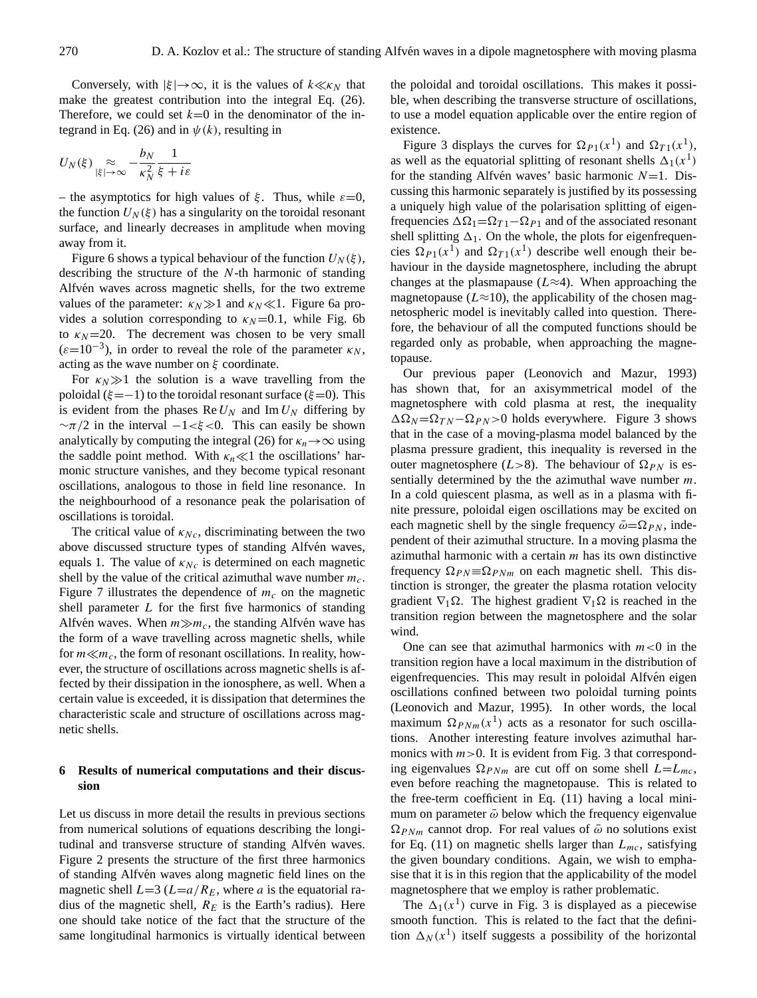Conversely, with  $|\xi| \to \infty$ , it is the values of  $k \ll \kappa_N$  that make the greatest contribution into the integral Eq. [\(26\)](#page-6-5). Therefore, we could set  $k=0$  in the denominator of the in-tegrand in Eq. [\(26\)](#page-6-5) and in  $\psi(k)$ , resulting in

$$
U_N(\xi) \underset{|\xi| \to \infty}{\approx} -\frac{b_N}{\kappa_N^2} \frac{1}{\xi + i\varepsilon}
$$

– the asymptotics for high values of  $\xi$ . Thus, while  $\varepsilon=0$ , the function  $U_N(\xi)$  has a singularity on the toroidal resonant surface, and linearly decreases in amplitude when moving away from it.

Figure 6 shows a typical behaviour of the function  $U_N(\xi)$ , describing the structure of the N-th harmonic of standing Alfvén waves across magnetic shells, for the two extreme values of the parameter:  $\kappa_N \gg 1$  and  $\kappa_N \ll 1$ . Figure 6a provides a solution corresponding to  $\kappa_N$ =0.1, while Fig. 6b to  $\kappa_N$ =20. The decrement was chosen to be very small  $(\varepsilon=10^{-3})$ , in order to reveal the role of the parameter  $\kappa_N$ , acting as the wave number on  $\xi$  coordinate.

For  $\kappa_N \gg 1$  the solution is a wave travelling from the poloidal ( $\xi = -1$ ) to the toroidal resonant surface ( $\xi = 0$ ). This is evident from the phases Re  $U_N$  and Im  $U_N$  differing by  $~\sim \pi/2$  in the interval  $-1 < \xi < 0$ . This can easily be shown analytically by computing the integral [\(26\)](#page-6-5) for  $\kappa_n \to \infty$  using the saddle point method. With  $\kappa_n \ll 1$  the oscillations' harmonic structure vanishes, and they become typical resonant oscillations, analogous to those in field line resonance. In the neighbourhood of a resonance peak the polarisation of oscillations is toroidal.

The critical value of  $\kappa_{Nc}$ , discriminating between the two above discussed structure types of standing Alfvén waves, equals 1. The value of  $\kappa_{Nc}$  is determined on each magnetic shell by the value of the critical azimuthal wave number  $m_c$ . Figure 7 illustrates the dependence of  $m_c$  on the magnetic shell parameter L for the first five harmonics of standing Alfvén waves. When  $m \gg m_c$ , the standing Alfvén wave has the form of a wave travelling across magnetic shells, while for  $m \ll m_c$ , the form of resonant oscillations. In reality, however, the structure of oscillations across magnetic shells is affected by their dissipation in the ionosphere, as well. When a certain value is exceeded, it is dissipation that determines the characteristic scale and structure of oscillations across magnetic shells.

#### **6 Results of numerical computations and their discussion**

Let us discuss in more detail the results in previous sections from numerical solutions of equations describing the longitudinal and transverse structure of standing Alfvén waves. Figure 2 presents the structure of the first three harmonics of standing Alfvén waves along magnetic field lines on the magnetic shell  $L=3$  ( $L=a/R_E$ , where a is the equatorial radius of the magnetic shell,  $R_E$  is the Earth's radius). Here one should take notice of the fact that the structure of the same longitudinal harmonics is virtually identical between the poloidal and toroidal oscillations. This makes it possible, when describing the transverse structure of oscillations, to use a model equation applicable over the entire region of existence.

Figure 3 displays the curves for  $\Omega_{P1}(x^1)$  and  $\Omega_{T1}(x^1)$ , as well as the equatorial splitting of resonant shells  $\Delta_1(x^1)$ for the standing Alfvén waves' basic harmonic  $N=1$ . Discussing this harmonic separately is justified by its possessing a uniquely high value of the polarisation splitting of eigenfrequencies  $\Delta \Omega_1 = \Omega_{T1} - \Omega_{P1}$  and of the associated resonant shell splitting  $\Delta_1$ . On the whole, the plots for eigenfrequencies  $\Omega_{P1}(x^1)$  and  $\Omega_{T1}(x^1)$  describe well enough their behaviour in the dayside magnetosphere, including the abrupt changes at the plasmapause ( $L \approx 4$ ). When approaching the magnetopause ( $L \approx 10$ ), the applicability of the chosen magnetospheric model is inevitably called into question. Therefore, the behaviour of all the computed functions should be regarded only as probable, when approaching the magnetopause.

Our previous paper [\(Leonovich and Mazur,](#page-11-21) [1993\)](#page-11-21) has shown that, for an axisymmetrical model of the magnetosphere with cold plasma at rest, the inequality  $\Delta \Omega_N = \Omega_{TN} - \Omega_{PN} > 0$  holds everywhere. Figure 3 shows that in the case of a moving-plasma model balanced by the plasma pressure gradient, this inequality is reversed in the outer magnetosphere (L>8). The behaviour of  $\Omega_{PN}$  is essentially determined by the the azimuthal wave number  $m$ . In a cold quiescent plasma, as well as in a plasma with finite pressure, poloidal eigen oscillations may be excited on each magnetic shell by the single frequency  $\bar{\omega}=\Omega_{PN}$ , independent of their azimuthal structure. In a moving plasma the azimuthal harmonic with a certain  $m$  has its own distinctive frequency  $\Omega_{PN} \equiv \Omega_{PNm}$  on each magnetic shell. This distinction is stronger, the greater the plasma rotation velocity gradient  $\nabla_1 \Omega$ . The highest gradient  $\nabla_1 \Omega$  is reached in the transition region between the magnetosphere and the solar wind.

One can see that azimuthal harmonics with  $m < 0$  in the transition region have a local maximum in the distribution of eigenfrequencies. This may result in poloidal Alfvén eigen oscillations confined between two poloidal turning points [\(Leonovich and Mazur,](#page-11-31) [1995\)](#page-11-31). In other words, the local maximum  $\Omega_{PNm}(x^1)$  acts as a resonator for such oscillations. Another interesting feature involves azimuthal harmonics with  $m>0$ . It is evident from Fig. 3 that corresponding eigenvalues  $\Omega_{PNm}$  are cut off on some shell  $L=L_{mc}$ , even before reaching the magnetopause. This is related to the free-term coefficient in Eq. [\(11\)](#page-4-0) having a local minimum on parameter  $\bar{\omega}$  below which the frequency eigenvalue  $\Omega_{PNm}$  cannot drop. For real values of  $\bar{\omega}$  no solutions exist for Eq. [\(11\)](#page-4-0) on magnetic shells larger than  $L_{mc}$ , satisfying the given boundary conditions. Again, we wish to emphasise that it is in this region that the applicability of the model magnetosphere that we employ is rather problematic.

The  $\Delta_1(x^1)$  curve in Fig. 3 is displayed as a piecewise smooth function. This is related to the fact that the definition  $\Delta_N(x^1)$  itself suggests a possibility of the horizontal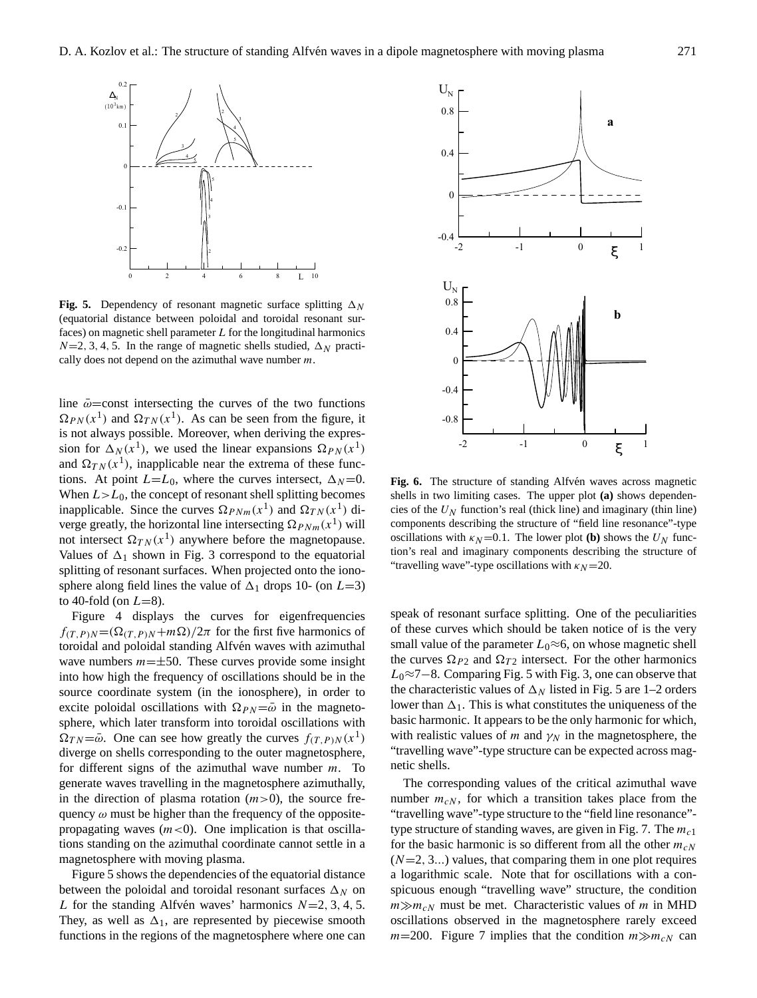

**Fig. 5.** Dependency of resonant magnetic surface splitting  $\Delta_N$ (equatorial distance between poloidal and toroidal resonant surfaces) on magnetic shell parameter  $L$  for the longitudinal harmonics  $\frac{1}{2}$  shells studied on the association of processing on the azimuthal  $\Lambda$  and  $\Lambda$  $N=2, 3, 4, 5$ . In the range of magnetic shells studied,  $\Delta_N$  practically does not depend on the azimuthal wave number  $m$ .

sphere along field lines the value of  $\Delta_1$  drops 10- (on  $L=3$ ) splitting of resonant surfaces. When projected onto the ionoverge greatly, the horizontal line intersecting  $\Omega_{PNm}(x^1)$  will When  $L > L_0$ , the concept of resonant shell splitting becomes sion for  $\Delta_N(x^1)$ , we used the linear expansions  $\Omega_{PN}(x^1)$  $\Omega_{PN}(x^1)$  and  $\Omega_{TN}(x^1)$ . As can be seen from the figure, it line  $\bar{\omega}$ =const intersecting the curves of the two functions is not always possible. Moreover, when deriving the expresand  $\Omega_{TN}(x^1)$ , inapplicable near the extrema of these functions. At point  $L=L_0$ , where the curves intersect,  $\Delta_N=0$ . inapplicable. Since the curves  $\Omega_{PNm}(x^1)$  and  $\Omega_{TN}(x^1)$  dinot intersect  $\Omega_{TN}(x^1)$  anywhere before the magnetopause. Values of  $\Delta_1$  shown in Fig. 3 correspond to the equatorial to 40-fold (on  $L=8$ ).

generate waves travelling in the magnetosphere azimuthally, diverge on shells corresponding to the outer magnetosphere, sphere, which later transform into toroidal oscillations with source coordinate system (in the ionosphere), in order to wave numbers  $m=\pm 50$ . These curves provide some insight  $f(T, P)N = (\Omega(T, P)N + m\Omega)/2\pi$  for the first five harmonics of Figure 4 displays the curves for eigenfrequencies<br> $(0.1 \text{ m})^2$  for the first five homogeneous of toroidal and poloidal standing Alfvén waves with azimuthal quency  $\omega$  must be higher than the frequency of the opposite-<br>"tra propagating waves  $(m<0)$ . One implication is that oscilla-<br>typ tions standing on the azimuthal coordinate cannot settle in a for  $m$ agnetosphere with moving plasma.  $(N = 1.1)$ into how high the frequency of oscillations should be in the excite poloidal oscillations with  $\Omega_{PN}=\bar{\omega}$  in the magneto- $\Omega_{TN} = \overline{\omega}$ . One can see how greatly the curves  $f_{(T,P)N}(x^1)$ for different signs of the azimuthal wave number  $m$ . To in the direction of plasma rotation  $(m>0)$ , the source fre-

plot (b) shows the UN function's real and imaginary components describing  $\mathcal{L}$ Figure 5 shows the dependencies of the equatorial distance between the poloidal and toroidal resonant surfaces  $\Delta_N$  on L for the standing Alfvén waves' harmonics  $N=2, 3, 4, 5$ . They, as well as  $\Delta_1$ , are represented by piecewise smooth functions in the regions of the magnetosphere where one can



oscillations with  $\kappa_N$ =0.1. The lower plot **(b)** shows the  $U_N$  func-Fig. 6. The structure of standing Alfvén waves across magnetic "travelling wave"-type oscillations with  $\kappa_N$ =20. shells in two limiting cases. The upper plot (a) shows dependencies of the  $U_N$  function's real (thick line) and imaginary (thin line)  $\sigma_N$  function s real (three rine) and imaginary (thin nine) components describing the structure of "field line resonance"-type tion's real and imaginary components describing the structure of

speak of resonant surface splitting. One of the peculiarities of these curves which should be taken notice of is the very small value of the parameter  $L_0 \approx 6$ , on whose magnetic shell the curves  $\Omega_{P2}$  and  $\Omega_{T2}$  intersect. For the other harmonics  $L_0 \approx 7-8$ . Comparing Fig. 5 with Fig. 3, one can observe that the characteristic values of  $\Delta_N$  listed in Fig. 5 are 1–2 orders lower than  $\Delta_1$ . This is what constitutes the uniqueness of the basic harmonic. It appears to be the only harmonic for which, with realistic values of m and  $\gamma_N$  in the magnetosphere, the "travelling wave"-type structure can be expected across magnetic shells.

The corresponding values of the critical azimuthal wave number  $m_{cN}$ , for which a transition takes place from the "travelling wave"-type structure to the "field line resonance" type structure of standing waves, are given in Fig. 7. The  $m<sub>c1</sub>$ for the basic harmonic is so different from all the other  $m_{cN}$  $(N=2, 3...)$  values, that comparing them in one plot requires a logarithmic scale. Note that for oscillations with a conspicuous enough "travelling wave" structure, the condition  $m \gg m_{cN}$  must be met. Characteristic values of m in MHD oscillations observed in the magnetosphere rarely exceed  $m=200$ . Figure 7 implies that the condition  $m \gg m_{cN}$  can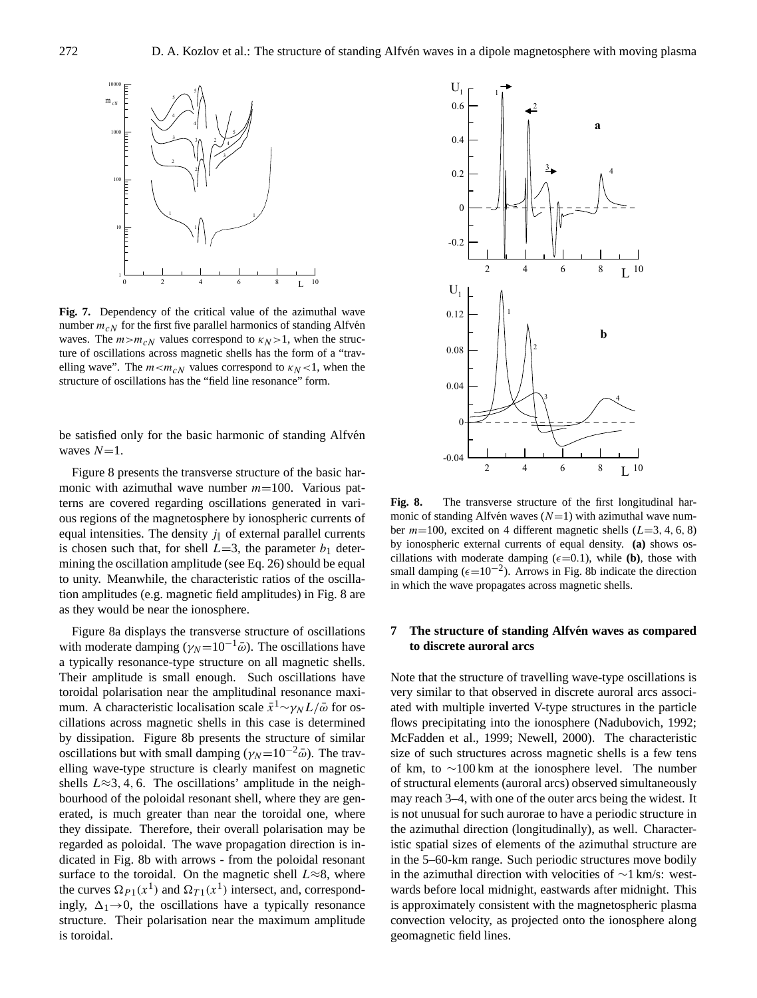

Fig. 7. Dependency of the critical value of the azimuthal wave number  $m_{cN}$  for the first five parallel harmonics of standing Alfvén waves. The  $m>m_{cN}$  values correspond to  $\kappa_N>1$ , when the structure of oscillations across magnetic shells has the form of a "travvalues correspond to  $\frac{1}{2}$  and  $\frac{1}{2}$  and  $\frac{1}{2}$  and  $\frac{1}{2}$  and  $\frac{1}{2}$ elling wave". The  $m < m_cN$  values correspond to  $\kappa_N < 1$ , when the structure of oscillations has the "field line resonance" form.

be satisfied only for the basic harmonic of standing Alfvén waves  $N=1$ .

**Fig. 6.** The structure of structure of standing Alfven waves across major structure of  $\frac{1}{2}$  $\ln$  to u  $\frac{1}{\sqrt{1-\frac{1}{\sqrt{1-\frac{1}{\sqrt{1-\frac{1}{\sqrt{1-\frac{1}{\sqrt{1-\frac{1}{\sqrt{1-\frac{1}{\sqrt{1-\frac{1}{\sqrt{1-\frac{1}{\sqrt{1-\frac{1}{\sqrt{1-\frac{1}{\sqrt{1-\frac{1}{\sqrt{1-\frac{1}{\sqrt{1-\frac{1}{\sqrt{1-\frac{1}{\sqrt{1-\frac{1}{\sqrt{1-\frac{1}{\sqrt{1-\frac{1}{\sqrt{1-\frac{1}{\sqrt{1-\frac{1}{\sqrt{1-\frac{1}{\sqrt{1-\frac{1}{\sqrt{1-\frac{1}{\sqrt{1-\frac{1}{\sqrt{1-\frac{1$  $\frac{1}{\sqrt{1-\frac{1}{\sqrt{1-\frac{1}{\sqrt{1-\frac{1}{\sqrt{1-\frac{1}{\sqrt{1-\frac{1}{\sqrt{1-\frac{1}{\sqrt{1-\frac{1}{\sqrt{1-\frac{1}{\sqrt{1-\frac{1}{\sqrt{1-\frac{1}{\sqrt{1-\frac{1}{\sqrt{1-\frac{1}{\sqrt{1-\frac{1}{\sqrt{1-\frac{1}{\sqrt{1-\frac{1}{\sqrt{1-\frac{1}{\sqrt{1-\frac{1}{\sqrt{1-\frac{1}{\sqrt{1-\frac{1}{\sqrt{1-\frac{1}{\sqrt{1-\frac{1}{\sqrt{1-\frac{1}{\sqrt{1-\frac{1}{\sqrt{1-\frac{1$ plot (b) shows the UN function's real and imaginary components describing Figure 8 presents the transverse structure of the basic harmonic with azimuthal wave number  $m=100$ . Various patterns are covered regarding oscillations generated in various regions of the magnetosphere by ionospheric currents of equal intensities. The density  $j_{\parallel}$  of external parallel currents is chosen such that, for shell  $L=3$ , the parameter  $b_1$  determining the oscillation amplitude (see Eq. [26\)](#page-6-5) should be equal to unity. Meanwhile, the characteristic ratios of the oscillation amplitudes (e.g. magnetic field amplitudes) in Fig. 8 are as they would be near the ionosphere.

> Figure 8a displays the transverse structure of oscillations with moderate damping ( $\gamma_N$ =10<sup>-1</sup> $\bar{\omega}$ ). The oscillations have a typically resonance-type structure on all magnetic shells. Their amplitude is small enough. Such oscillations have toroidal polarisation near the amplitudinal resonance maximum. A characteristic localisation scale  $\bar{x}^1$ ~ $\gamma_N L/\bar{\omega}$  for oscillations across magnetic shells in this case is determined by dissipation. Figure 8b presents the structure of similar oscillations but with small damping ( $\gamma_N=10^{-2}\bar{\omega}$ ). The travelling wave-type structure is clearly manifest on magnetic shells  $L \approx 3, 4, 6$ . The oscillations' amplitude in the neighbourhood of the poloidal resonant shell, where they are generated, is much greater than near the toroidal one, where they dissipate. Therefore, their overall polarisation may be regarded as poloidal. The wave propagation direction is indicated in Fig. 8b with arrows - from the poloidal resonant surface to the toroidal. On the magnetic shell  $L \approx 8$ , where the curves  $\Omega_{P1}(x^1)$  and  $\Omega_{T1}(x^1)$  intersect, and, correspondingly,  $\Delta_1 \rightarrow 0$ , the oscillations have a typically resonance structure. Their polarisation near the maximum amplitude is toroidal.



Fig. 8. The transverse structure of the first longitudinal har- $\frac{1}{2}$  and  $\frac{1}{2}$  and  $\frac{1}{2}$  are  $\frac{1}{2}$  (N = 1) with a  $\frac{1}{2}$  wave number on  $\frac{1}{2}$ monic of standing Alfven waves  $(N=1)$  with azimuthal wave number  $m=100$ , excited on 4 different magnetic shells ( $L=3, 4, 6, 8$ ) by ionospheric external currents of equal density. **(a)** shows oscillations with moderate damping  $(\epsilon = 0.1)$ , while **(b)**, those with small damping ( $\epsilon$ =10<sup>-2</sup>). Arrows in Fig. 8b indicate the direction in which the wave propagates across magnetic shells.

# **7** The structure of standing Alfvén waves as compared **to discrete auroral arcs**

Note that the structure of travelling wave-type oscillations is very similar to that observed in discrete auroral arcs associated with multiple inverted V-type structures in the particle flows precipitating into the ionosphere [\(Nadubovich,](#page-11-32) [1992;](#page-11-32) [McFadden et al.,](#page-11-33) [1999;](#page-11-33) [Newell,](#page-11-34) [2000\)](#page-11-34). The characteristic size of such structures across magnetic shells is a few tens of km, to ∼100 km at the ionosphere level. The number of structural elements (auroral arcs) observed simultaneously may reach 3–4, with one of the outer arcs being the widest. It is not unusual for such aurorae to have a periodic structure in the azimuthal direction (longitudinally), as well. Characteristic spatial sizes of elements of the azimuthal structure are in the 5–60-km range. Such periodic structures move bodily in the azimuthal direction with velocities of ∼1 km/s: westwards before local midnight, eastwards after midnight. This is approximately consistent with the magnetospheric plasma convection velocity, as projected onto the ionosphere along geomagnetic field lines.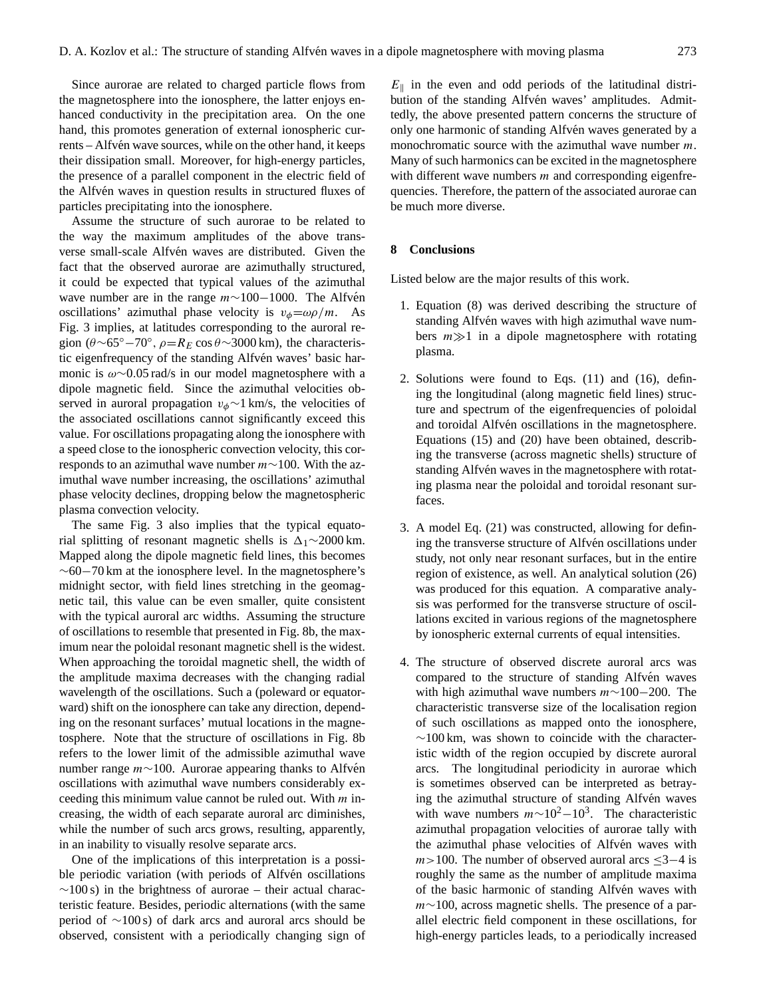Since aurorae are related to charged particle flows from the magnetosphere into the ionosphere, the latter enjoys enhanced conductivity in the precipitation area. On the one hand, this promotes generation of external ionospheric currents – Alfvén wave sources, while on the other hand, it keeps their dissipation small. Moreover, for high-energy particles, the presence of a parallel component in the electric field of the Alfvén waves in question results in structured fluxes of particles precipitating into the ionosphere.

Assume the structure of such aurorae to be related to the way the maximum amplitudes of the above transverse small-scale Alfvén waves are distributed. Given the fact that the observed aurorae are azimuthally structured, it could be expected that typical values of the azimuthal wave number are in the range  $m \sim 100-1000$ . The Alfvén oscillations' azimuthal phase velocity is  $v_{\phi} = \omega \rho / m$ . As Fig. 3 implies, at latitudes corresponding to the auroral region ( $\theta \sim 65^{\circ} - 70^{\circ}$ ,  $\rho = R_E \cos \theta \sim 3000 \text{ km}$ ), the characteristic eigenfrequency of the standing Alfvén waves' basic harmonic is ω∼0.05 rad/s in our model magnetosphere with a dipole magnetic field. Since the azimuthal velocities observed in auroral propagation  $v_{\phi} \sim 1$  km/s, the velocities of the associated oscillations cannot significantly exceed this value. For oscillations propagating along the ionosphere with a speed close to the ionospheric convection velocity, this corresponds to an azimuthal wave number m∼100. With the azimuthal wave number increasing, the oscillations' azimuthal phase velocity declines, dropping below the magnetospheric plasma convection velocity.

The same Fig. 3 also implies that the typical equatorial splitting of resonant magnetic shells is  $\Delta_1 \sim 2000 \text{ km}$ . Mapped along the dipole magnetic field lines, this becomes  $\sim$ 60−70 km at the ionosphere level. In the magnetosphere's midnight sector, with field lines stretching in the geomagnetic tail, this value can be even smaller, quite consistent with the typical auroral arc widths. Assuming the structure of oscillations to resemble that presented in Fig. 8b, the maximum near the poloidal resonant magnetic shell is the widest. When approaching the toroidal magnetic shell, the width of the amplitude maxima decreases with the changing radial wavelength of the oscillations. Such a (poleward or equatorward) shift on the ionosphere can take any direction, depending on the resonant surfaces' mutual locations in the magnetosphere. Note that the structure of oscillations in Fig. 8b refers to the lower limit of the admissible azimuthal wave number range *m*∼100. Aurorae appearing thanks to Alfvén oscillations with azimuthal wave numbers considerably exceeding this minimum value cannot be ruled out. With  $m$  increasing, the width of each separate auroral arc diminishes, while the number of such arcs grows, resulting, apparently, in an inability to visually resolve separate arcs.

One of the implications of this interpretation is a possible periodic variation (with periods of Alfvén oscillations  $\sim$ 100 s) in the brightness of aurorae – their actual characteristic feature. Besides, periodic alternations (with the same period of ∼100 s) of dark arcs and auroral arcs should be observed, consistent with a periodically changing sign of

 $E_{\parallel}$  in the even and odd periods of the latitudinal distribution of the standing Alfvén waves' amplitudes. Admittedly, the above presented pattern concerns the structure of only one harmonic of standing Alfvén waves generated by a monochromatic source with the azimuthal wave number  $m$ . Many of such harmonics can be excited in the magnetosphere with different wave numbers  $m$  and corresponding eigenfrequencies. Therefore, the pattern of the associated aurorae can be much more diverse.

### **8 Conclusions**

Listed below are the major results of this work.

- 1. Equation [\(8\)](#page-3-0) was derived describing the structure of standing Alfvén waves with high azimuthal wave numbers  $m \gg 1$  in a dipole magnetosphere with rotating plasma.
- 2. Solutions were found to Eqs. [\(11\)](#page-4-0) and [\(16\)](#page-5-1), defining the longitudinal (along magnetic field lines) structure and spectrum of the eigenfrequencies of poloidal and toroidal Alfvén oscillations in the magnetosphere. Equations [\(15\)](#page-5-0) and [\(20\)](#page-5-5) have been obtained, describing the transverse (across magnetic shells) structure of standing Alfvén waves in the magnetosphere with rotating plasma near the poloidal and toroidal resonant surfaces.
- 3. A model Eq. [\(21\)](#page-6-2) was constructed, allowing for defining the transverse structure of Alfvén oscillations under study, not only near resonant surfaces, but in the entire region of existence, as well. An analytical solution [\(26\)](#page-6-5) was produced for this equation. A comparative analysis was performed for the transverse structure of oscillations excited in various regions of the magnetosphere by ionospheric external currents of equal intensities.
- 4. The structure of observed discrete auroral arcs was compared to the structure of standing Alfvén waves with high azimuthal wave numbers  $m \sim 100-200$ . The characteristic transverse size of the localisation region of such oscillations as mapped onto the ionosphere,  $~\sim$ 100 km, was shown to coincide with the characteristic width of the region occupied by discrete auroral arcs. The longitudinal periodicity in aurorae which is sometimes observed can be interpreted as betraying the azimuthal structure of standing Alfvén waves with wave numbers  $m \sim 10^2 - 10^3$ . The characteristic azimuthal propagation velocities of aurorae tally with the azimuthal phase velocities of Alfvén waves with  $m>100$ . The number of observed auroral arcs  $\leq 3-4$  is roughly the same as the number of amplitude maxima of the basic harmonic of standing Alfven waves with m∼100, across magnetic shells. The presence of a parallel electric field component in these oscillations, for high-energy particles leads, to a periodically increased